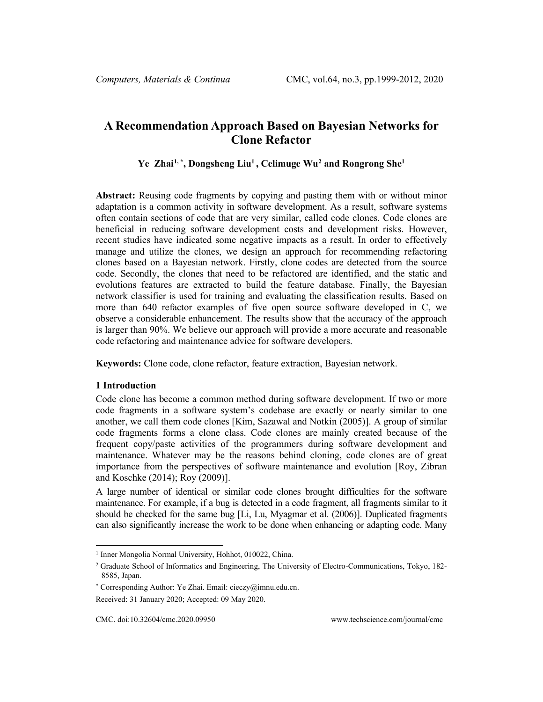# **A Recommendation Approach Based on Bayesian Networks for Clone Refactor**

## <span id="page-0-0"></span>**Ye Zhai[1,](#page-0-1) \* , Dongsheng Li[u1](#page-0-0) , Celimuge Wu[2](#page-0-2) and Rongrong Sh[e1](#page-0-0)**

**Abstract:** Reusing code fragments by copying and pasting them with or without minor adaptation is a common activity in software development. As a result, software systems often contain sections of code that are very similar, called code clones. Code clones are beneficial in reducing software development costs and development risks. However, recent studies have indicated some negative impacts as a result. In order to effectively manage and utilize the clones, we design an approach for recommending refactoring clones based on a Bayesian network. Firstly, clone codes are detected from the source code. Secondly, the clones that need to be refactored are identified, and the static and evolutions features are extracted to build the feature database. Finally, the Bayesian network classifier is used for training and evaluating the classification results. Based on more than 640 refactor examples of five open source software developed in C, we observe a considerable enhancement. The results show that the accuracy of the approach is larger than 90%. We believe our approach will provide a more accurate and reasonable code refactoring and maintenance advice for software developers.

**Keywords:** Clone code, clone refactor, feature extraction, Bayesian network.

#### **1 Introduction**

Code clone has become a common method during software development. If two or more code fragments in a software system's codebase are exactly or nearly similar to one another, we call them code clones [Kim, Sazawal and Notkin (2005)]. A group of similar code fragments forms a clone class. Code clones are mainly created because of the frequent copy/paste activities of the programmers during software development and maintenance. Whatever may be the reasons behind cloning, code clones are of great importance from the perspectives of software maintenance and evolution [Roy, Zibran and Koschke (2014); Roy (2009)].

A large number of identical or similar code clones brought difficulties for the software maintenance. For example, if a bug is detected in a code fragment, all fragments similar to it should be checked for the same bug [Li, Lu, Myagmar et al. (2006)]. Duplicated fragments can also significantly increase the work to be done when enhancing or adapting code. Many

<sup>&</sup>lt;sup>1</sup> Inner Mongolia Normal University, Hohhot, 010022, China.

<span id="page-0-2"></span><span id="page-0-1"></span><sup>&</sup>lt;sup>2</sup> Graduate School of Informatics and Engineering, The University of Electro-Communications, Tokyo, 182-8585, Japan.

<sup>\*</sup> Corresponding Author: Ye Zhai. Email: cieczy@imnu.edu.cn.

Received: 31 January 2020; Accepted: 09 May 2020.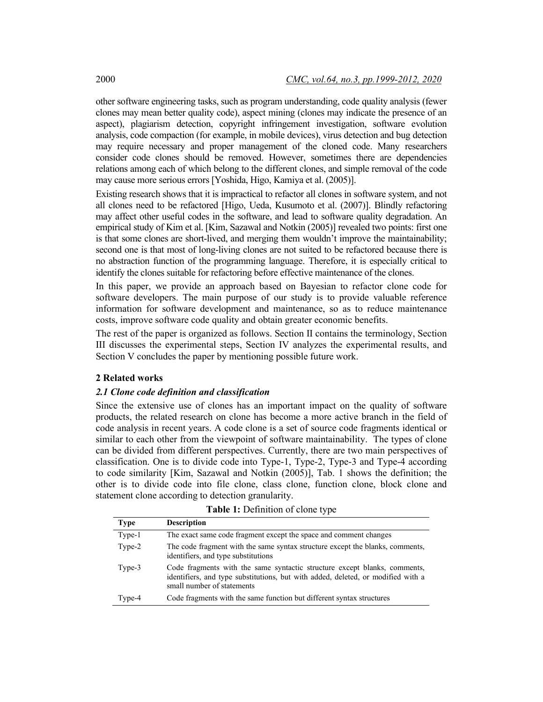other software engineering tasks, such as program understanding, code quality analysis (fewer clones may mean better quality code), aspect mining (clones may indicate the presence of an aspect), plagiarism detection, copyright infringement investigation, software evolution analysis, code compaction (for example, in mobile devices), virus detection and bug detection may require necessary and proper management of the cloned code. Many researchers consider code clones should be removed. However, sometimes there are dependencies relations among each of which belong to the different clones, and simple removal of the code may cause more serious errors [Yoshida, Higo, Kamiya et al. (2005)].

Existing research shows that it is impractical to refactor all clones in software system, and not all clones need to be refactored [Higo, Ueda, Kusumoto et al. (2007)]. Blindly refactoring may affect other useful codes in the software, and lead to software quality degradation. An empirical study of Kim et al. [Kim, Sazawal and Notkin (2005)] revealed two points: first one is that some clones are short-lived, and merging them wouldn't improve the maintainability; second one is that most of long-living clones are not suited to be refactored because there is no abstraction function of the programming language. Therefore, it is especially critical to identify the clones suitable for refactoring before effective maintenance of the clones.

In this paper, we provide an approach based on Bayesian to refactor clone code for software developers. The main purpose of our study is to provide valuable reference information for software development and maintenance, so as to reduce maintenance costs, improve software code quality and obtain greater economic benefits.

The rest of the paper is organized as follows. Section II contains the terminology, Section III discusses the experimental steps, Section IV analyzes the experimental results, and Section V concludes the paper by mentioning possible future work.

#### **2 Related works**

#### *2.1 Clone code definition and classification*

Since the extensive use of clones has an important impact on the quality of software products, the related research on clone has become a more active branch in the field of code analysis in recent years. A code clone is a set of source code fragments identical or similar to each other from the viewpoint of software maintainability. The types of clone can be divided from different perspectives. Currently, there are two main perspectives of classification. One is to divide code into Type-1, Type-2, Type-3 and Type-4 according to code similarity [Kim, Sazawal and Notkin (2005)], Tab. 1 shows the definition; the other is to divide code into file clone, class clone, function clone, block clone and statement clone according to detection granularity.

| <b>Type</b> | <b>Description</b>                                                                                                                                                                          |
|-------------|---------------------------------------------------------------------------------------------------------------------------------------------------------------------------------------------|
| Type-1      | The exact same code fragment except the space and comment changes                                                                                                                           |
| Type-2      | The code fragment with the same syntax structure except the blanks, comments,<br>identifiers, and type substitutions                                                                        |
| Type-3      | Code fragments with the same syntactic structure except blanks, comments,<br>identifiers, and type substitutions, but with added, deleted, or modified with a<br>small number of statements |
| Type-4      | Code fragments with the same function but different syntax structures                                                                                                                       |

#### **Table 1:** Definition of clone type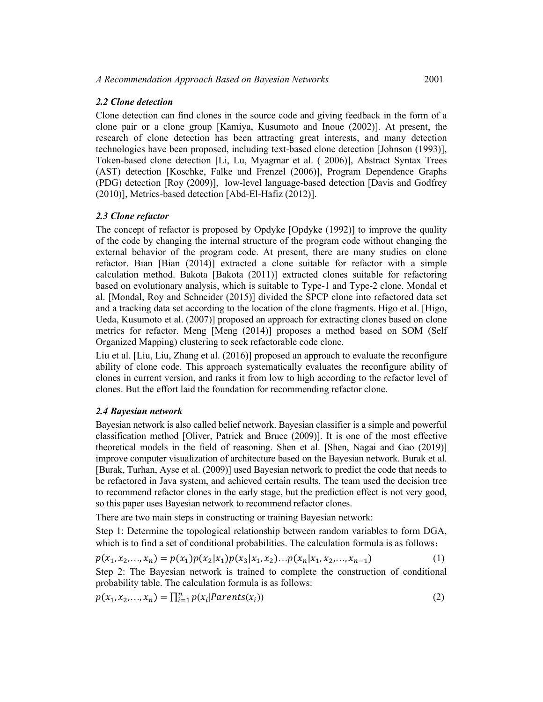## *2.2 Clone detection*

Clone detection can find clones in the source code and giving feedback in the form of a clone pair or a clone group [Kamiya, Kusumoto and Inoue (2002)]. At present, the research of clone detection has been attracting great interests, and many detection technologies have been proposed, including text-based clone detection [Johnson (1993)], Token-based clone detection [Li, Lu, Myagmar et al. ( 2006)], Abstract Syntax Trees (AST) detection [Koschke, Falke and Frenzel (2006)], Program Dependence Graphs (PDG) detection [Roy (2009)], low-level language-based detection [Davis and Godfrey (2010)], Metrics-based detection [Abd-El-Hafiz (2012)].

# *2.3 Clone refactor*

The concept of refactor is proposed by Opdyke [Opdyke (1992)] to improve the quality of the code by changing the internal structure of the program code without changing the external behavior of the program code. At present, there are many studies on clone refactor. Bian [Bian (2014)] extracted a clone suitable for refactor with a simple calculation method. Bakota [Bakota (2011)] extracted clones suitable for refactoring based on evolutionary analysis, which is suitable to Type-1 and Type-2 clone. Mondal et al. [Mondal, Roy and Schneider (2015)] divided the SPCP clone into refactored data set and a tracking data set according to the location of the clone fragments. Higo et al. [Higo, Ueda, Kusumoto et al. (2007)] proposed an approach for extracting clones based on clone metrics for refactor. Meng [Meng (2014)] proposes a method based on SOM (Self Organized Mapping) clustering to seek refactorable code clone.

Liu et al. [Liu, Liu, Zhang et al. (2016)] proposed an approach to evaluate the reconfigure ability of clone code. This approach systematically evaluates the reconfigure ability of clones in current version, and ranks it from low to high according to the refactor level of clones. But the effort laid the foundation for recommending refactor clone.

## *2.4 Bayesian network*

Bayesian network is also called belief network. Bayesian classifier is a simple and powerful classification method [Oliver, Patrick and Bruce (2009)]. It is one of the most effective theoretical models in the field of reasoning. Shen et al. [Shen, Nagai and Gao (2019)] improve computer visualization of architecture based on the Bayesian network. Burak et al. [Burak, Turhan, Ayse et al. (2009)] used Bayesian network to predict the code that needs to be refactored in Java system, and achieved certain results. The team used the decision tree to recommend refactor clones in the early stage, but the prediction effect is not very good, so this paper uses Bayesian network to recommend refactor clones.

There are two main steps in constructing or training Bayesian network:

Step 1: Determine the topological relationship between random variables to form DGA, which is to find a set of conditional probabilities. The calculation formula is as follows:

$$
p(x_1, x_2,..., x_n) = p(x_1)p(x_2|x_1)p(x_3|x_1, x_2)...p(x_n|x_1, x_2,..., x_{n-1})
$$
\n(1)

Step 2: The Bayesian network is trained to complete the construction of conditional probability table. The calculation formula is as follows:

$$
p(x_1, x_2,..., x_n) = \prod_{i=1}^n p(x_i | Parents(x_i))
$$
\n(2)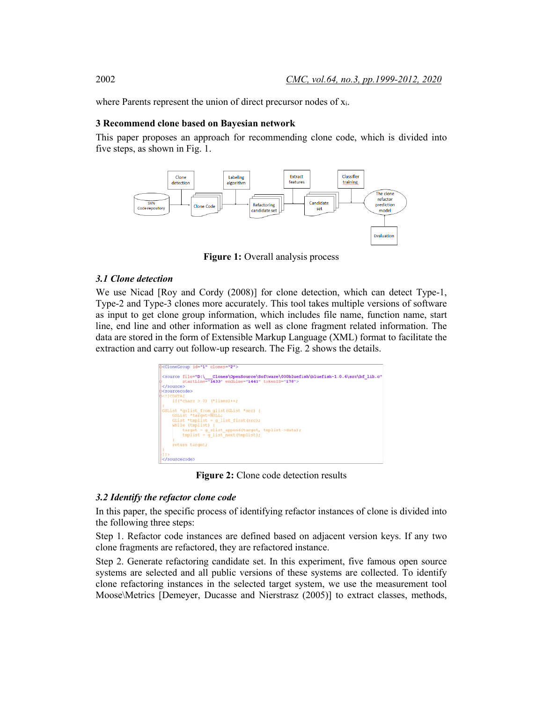where Parents represent the union of direct precursor nodes of  $x_i$ .

## **3 Recommend clone based on Bayesian network**

This paper proposes an approach for recommending clone code, which is divided into five steps, as shown in Fig. 1.



**Figure 1:** Overall analysis process

## *3.1 Clone detection*

We use Nicad [Roy and Cordy (2008)] for clone detection, which can detect Type-1, Type-2 and Type-3 clones more accurately. This tool takes multiple versions of software as input to get clone group information, which includes file name, function name, start line, end line and other information as well as clone fragment related information. The data are stored in the form of Extensible Markup Language (XML) format to facilitate the extraction and carry out follow-up research. The Fig. 2 shows the details.



**Figure 2:** Clone code detection results

#### *3.2 Identify the refactor clone code*

In this paper, the specific process of identifying refactor instances of clone is divided into the following three steps:

Step 1. Refactor code instances are defined based on adjacent version keys. If any two clone fragments are refactored, they are refactored instance.

Step 2. Generate refactoring candidate set. In this experiment, five famous open source systems are selected and all public versions of these systems are collected. To identify clone refactoring instances in the selected target system, we use the measurement tool Moose\Metrics [Demeyer, Ducasse and Nierstrasz (2005)] to extract classes, methods,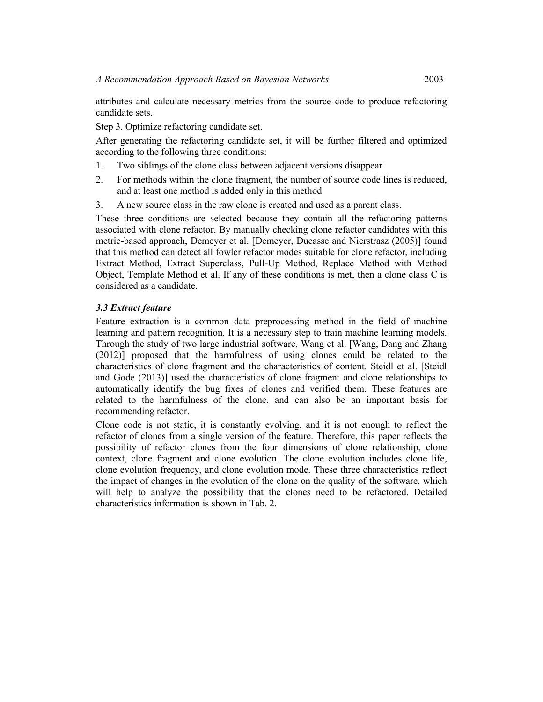attributes and calculate necessary metrics from the source code to produce refactoring candidate sets.

Step 3. Optimize refactoring candidate set.

After generating the refactoring candidate set, it will be further filtered and optimized according to the following three conditions:

- 1. Two siblings of the clone class between adjacent versions disappear
- 2. For methods within the clone fragment, the number of source code lines is reduced, and at least one method is added only in this method
- 3. A new source class in the raw clone is created and used as a parent class.

These three conditions are selected because they contain all the refactoring patterns associated with clone refactor. By manually checking clone refactor candidates with this metric-based approach, Demeyer et al. [Demeyer, Ducasse and Nierstrasz (2005)] found that this method can detect all fowler refactor modes suitable for clone refactor, including Extract Method, Extract Superclass, Pull-Up Method, Replace Method with Method Object, Template Method et al. If any of these conditions is met, then a clone class C is considered as a candidate.

## *3.3 Extract feature*

Feature extraction is a common data preprocessing method in the field of machine learning and pattern recognition. It is a necessary step to train machine learning models. Through the study of two large industrial software, Wang et al. [Wang, Dang and Zhang (2012)] proposed that the harmfulness of using clones could be related to the characteristics of clone fragment and the characteristics of content. Steidl et al. [Steidl and Gode (2013)] used the characteristics of clone fragment and clone relationships to automatically identify the bug fixes of clones and verified them. These features are related to the harmfulness of the clone, and can also be an important basis for recommending refactor.

Clone code is not static, it is constantly evolving, and it is not enough to reflect the refactor of clones from a single version of the feature. Therefore, this paper reflects the possibility of refactor clones from the four dimensions of clone relationship, clone context, clone fragment and clone evolution. The clone evolution includes clone life, clone evolution frequency, and clone evolution mode. These three characteristics reflect the impact of changes in the evolution of the clone on the quality of the software, which will help to analyze the possibility that the clones need to be refactored. Detailed characteristics information is shown in Tab. 2.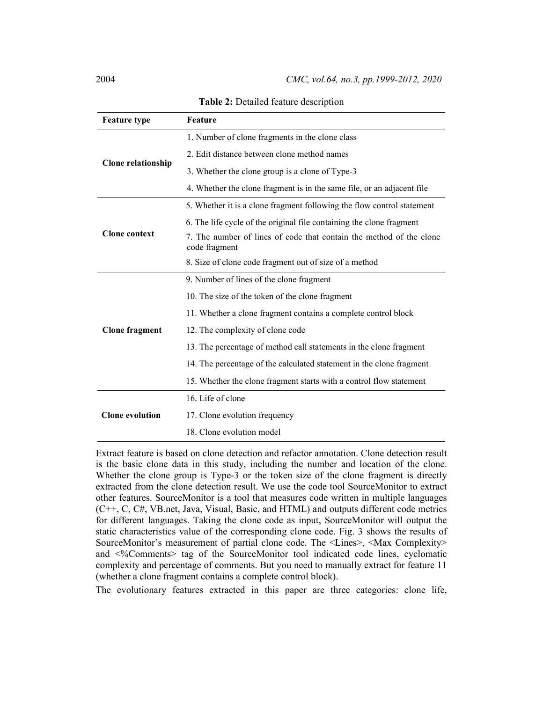| <b>Feature type</b>       | Feature                                                                              |  |  |  |  |  |
|---------------------------|--------------------------------------------------------------------------------------|--|--|--|--|--|
|                           | 1. Number of clone fragments in the clone class                                      |  |  |  |  |  |
|                           | 2. Edit distance between clone method names                                          |  |  |  |  |  |
| <b>Clone relationship</b> | 3. Whether the clone group is a clone of Type-3                                      |  |  |  |  |  |
|                           | 4. Whether the clone fragment is in the same file, or an adjacent file               |  |  |  |  |  |
|                           | 5. Whether it is a clone fragment following the flow control statement               |  |  |  |  |  |
|                           | 6. The life cycle of the original file containing the clone fragment                 |  |  |  |  |  |
| <b>Clone context</b>      | 7. The number of lines of code that contain the method of the clone<br>code fragment |  |  |  |  |  |
|                           | 8. Size of clone code fragment out of size of a method                               |  |  |  |  |  |
|                           | 9. Number of lines of the clone fragment                                             |  |  |  |  |  |
|                           | 10. The size of the token of the clone fragment                                      |  |  |  |  |  |
|                           | 11. Whether a clone fragment contains a complete control block                       |  |  |  |  |  |
| <b>Clone fragment</b>     | 12. The complexity of clone code                                                     |  |  |  |  |  |
|                           | 13. The percentage of method call statements in the clone fragment                   |  |  |  |  |  |
|                           | 14. The percentage of the calculated statement in the clone fragment                 |  |  |  |  |  |
|                           | 15. Whether the clone fragment starts with a control flow statement                  |  |  |  |  |  |
|                           | 16. Life of clone                                                                    |  |  |  |  |  |
| <b>Clone</b> evolution    | 17. Clone evolution frequency                                                        |  |  |  |  |  |
|                           | 18. Clone evolution model                                                            |  |  |  |  |  |

**Table 2:** Detailed feature description

Extract feature is based on clone detection and refactor annotation. Clone detection result is the basic clone data in this study, including the number and location of the clone. Whether the clone group is Type-3 or the token size of the clone fragment is directly extracted from the clone detection result. We use the code tool SourceMonitor to extract other features. SourceMonitor is a tool that measures code written in multiple languages (C++, C, C#, VB.net, Java, Visual, Basic, and HTML) and outputs different code metrics for different languages. Taking the clone code as input, SourceMonitor will output the static characteristics value of the corresponding clone code. Fig. 3 shows the results of SourceMonitor's measurement of partial clone code. The <Lines>, <Max Complexity> and <%Comments> tag of the SourceMonitor tool indicated code lines, cyclomatic complexity and percentage of comments. But you need to manually extract for feature 11 (whether a clone fragment contains a complete control block).

The evolutionary features extracted in this paper are three categories: clone life,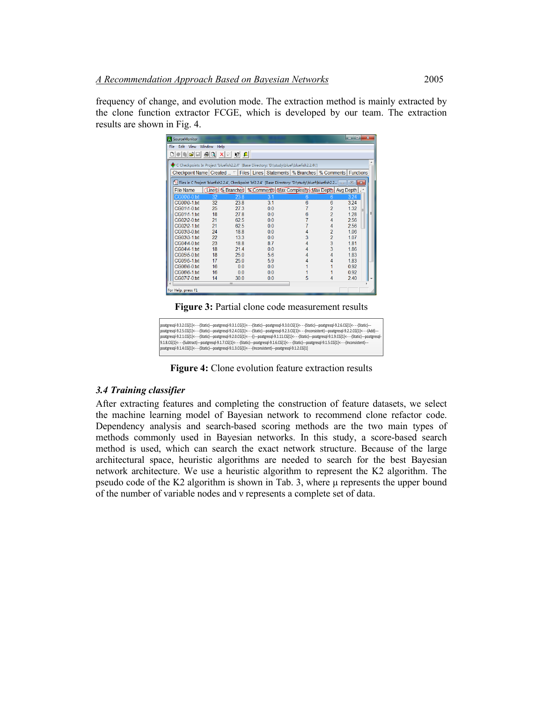frequency of change, and evolution mode. The extraction method is mainly extracted by the clone function extractor FCGE, which is developed by our team. The extraction results are shown in Fig. 4.

| SourceMonitor                                                                              |    |                |                                                                                                                                                          |   |                | $-10$ | $\mathbf{x}$ |  |  |  |
|--------------------------------------------------------------------------------------------|----|----------------|----------------------------------------------------------------------------------------------------------------------------------------------------------|---|----------------|-------|--------------|--|--|--|
| File Edit View Window Help                                                                 |    |                |                                                                                                                                                          |   |                |       |              |  |  |  |
| 미이이슬티 종미 지회 K! 1                                                                           |    |                |                                                                                                                                                          |   |                |       |              |  |  |  |
| C Checkpoints In Project 'bluefish2.2.4' [Base Directory: 'D:\study\bluef\bluefish2.2.4\'] |    |                |                                                                                                                                                          |   |                |       |              |  |  |  |
|                                                                                            |    |                | Checkpoint Name   Created $\overline{\phantom{a}}$   Files   Lines   Statements   % Branches   % Comments   Functions                                    |   |                |       |              |  |  |  |
|                                                                                            |    |                | <sup>1</sup> <sup>1</sup> / <sub>2</sub> Files in C Project 'bluefish2.2.4', Checkpoint 'bf2.2.4' [Base Directory: 'D:\study\bluef\bluefish2.2 a   a   ■ |   |                |       |              |  |  |  |
| <b>File Name</b>                                                                           |    |                | Lines & Branches   % Comments Max Complexity Max Depth Avg Depth                                                                                         |   |                |       |              |  |  |  |
| CG00\0-0.txt                                                                               | 32 | 23.8           | 3.1                                                                                                                                                      | 6 | 6              | 3 2 4 |              |  |  |  |
| CG00\0-1 txt                                                                               | 32 | 238            | 3.1                                                                                                                                                      | ĥ | 6              | 3.24  |              |  |  |  |
| CG01\1-0.txt                                                                               | 25 | 27.3           | 0 <sub>0</sub>                                                                                                                                           |   | $\overline{2}$ | 1.32  |              |  |  |  |
| CG01\1-1.txt                                                                               | 18 | 27.8           | 0.0                                                                                                                                                      | 6 | $\overline{2}$ | 1.28  |              |  |  |  |
| CG02\2-0.txt                                                                               | 21 | 62.5           | 0.0                                                                                                                                                      |   | 4              | 2.56  |              |  |  |  |
| CG02\2-1 txt                                                                               | 21 | 62.5           | 0 <sub>0</sub>                                                                                                                                           |   | 4              | 2.56  |              |  |  |  |
| CG03\3-0.txt                                                                               | 24 | 18.8           | 0.0                                                                                                                                                      |   | $\overline{2}$ | 1.06  |              |  |  |  |
| CG03\3-1 txt                                                                               | 22 | 133            | 0 <sub>0</sub>                                                                                                                                           | 3 | $\overline{2}$ | 1.07  |              |  |  |  |
| CG04\4-0.txt                                                                               | 23 | 18.8           | 8.7                                                                                                                                                      | 4 | 3              | 181   |              |  |  |  |
| CG04\4-1 txt                                                                               | 18 | 214            | 0 <sub>0</sub>                                                                                                                                           |   | 3              | 186   |              |  |  |  |
| CG05\5-0.txt                                                                               | 18 | 250            | 5.6                                                                                                                                                      |   |                | 183   |              |  |  |  |
| CG05\5-1.txt                                                                               | 17 | 25.0           | 59                                                                                                                                                       |   |                | 1.83  |              |  |  |  |
| CG06\6-0 fxt                                                                               | 16 | 0 <sub>0</sub> | 0 <sub>0</sub>                                                                                                                                           |   |                | 0.92  |              |  |  |  |
| CG06\6-1.txt                                                                               | 16 | 0.0            | 0 <sub>0</sub>                                                                                                                                           |   |                | 0.92  |              |  |  |  |
| CG07\7-0.txt                                                                               | 14 | 300            | 0.0                                                                                                                                                      | 5 |                | 240   |              |  |  |  |
|                                                                                            |    | Ш              |                                                                                                                                                          |   |                |       |              |  |  |  |
| For Help, press F1                                                                         |    |                |                                                                                                                                                          |   |                |       |              |  |  |  |

**Figure 3:** Partial clone code measurement results

poatgresql-9.3.2.CG[1]<- - -(Static)---poatgresql-9.3.1.CG[1]<- - -(Static)---poatgresql-9.3.0.CG[1]<- - (Static)---poatgresql-9.2.6.CG[1]<- - -(Static)---<br>poatgresql-9.2.5.CG[1]<- - -(Static)---poatgresql-9.2.4.CG[1]<- poatgresql-9.2.1.CG[1]<- - -(Static)---poatgresql-9.2.0.CG[1]<- - -()---poatgresql-9.1.11.CG[1]<- - -(Static)---poatgresql-9.1.9.CG[1]<- - -(Static)---poatgresql-9.1.8.CG[1]<- -{Subtract}---poatgresql-9.1.7.CG[1]<- -{Static}---poatgresql-9.1.6.CG[1]<- - {Static}---poatgresql-9.1.5.CG[1]<- - -{Inconsistent}---<br>poatgresql-9.1.4.CG[1]<- - -{Static}---poatgresql-9.1.3.CG[1]<- - -{Incon

**Figure 4:** Clone evolution feature extraction results

#### *3.4 Training classifier*

After extracting features and completing the construction of feature datasets, we select the machine learning model of Bayesian network to recommend clone refactor code. Dependency analysis and search-based scoring methods are the two main types of methods commonly used in Bayesian networks. In this study, a score-based search method is used, which can search the exact network structure. Because of the large architectural space, heuristic algorithms are needed to search for the best Bayesian network architecture. We use a heuristic algorithm to represent the K2 algorithm. The pseudo code of the K2 algorithm is shown in Tab. 3, where μ represents the upper bound of the number of variable nodes and ν represents a complete set of data.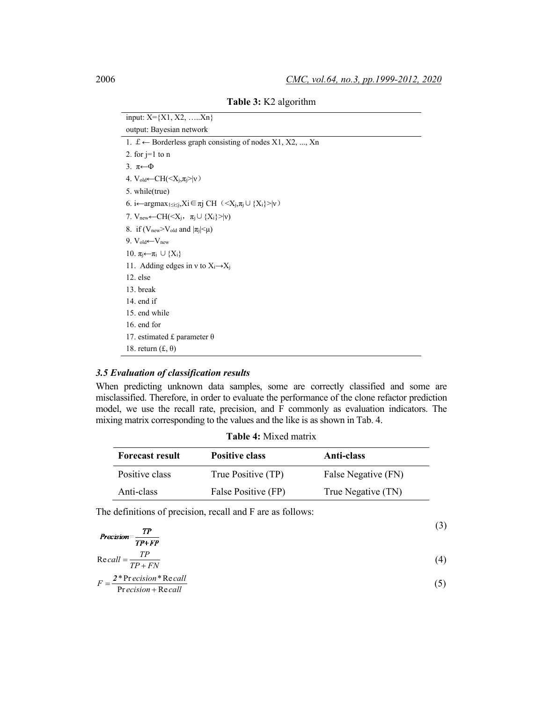| input: $X = \{X1, X2, \ldots, Xn\}$                                                              |
|--------------------------------------------------------------------------------------------------|
| output: Bayesian network                                                                         |
| 1. $f \leftarrow$ Borderless graph consisting of nodes X1, X2, , Xn                              |
| 2. for $j=1$ to n                                                                                |
| 3. $\pi \leftarrow \Phi$                                                                         |
| 4. $V_{old} \leftarrow CH(Xi, \pii> v)$                                                          |
| 5. while(true)                                                                                   |
| 6. i←argmax <sub>1≤i≤j</sub> ,Xi∈πj CH ( <x<sub>j,π<sub>j</sub> ∪ {X<sub>i</sub>}&gt; v)</x<sub> |
| 7. $V_{\text{new}} \leftarrow CH(Xi, \pii \cup {Xi} >  v)$                                       |
| 8. if $(V_{\text{new}} > V_{\text{old}}$ and $ \pi_i  \leq \mu$ )                                |
| 9. $V_{old} \leftarrow V_{new}$                                                                  |
| 10. $\pi_i \leftarrow \pi_i \cup \{X_i\}$                                                        |
| 11. Adding edges in v to $X_i \rightarrow X_j$                                                   |
| $12.$ else                                                                                       |
| 13. break                                                                                        |
| 14. end if                                                                                       |
| 15. end while                                                                                    |
| 16. end for                                                                                      |
| 17. estimated £ parameter $\theta$                                                               |
| 18. return $(f, \theta)$                                                                         |

**Table 3:** K2 algorithm

## *3.5 Evaluation of classification results*

When predicting unknown data samples, some are correctly classified and some are misclassified. Therefore, in order to evaluate the performance of the clone refactor prediction model, we use the recall rate, precision, and F commonly as evaluation indicators. The mixing matrix corresponding to the values and the like is as shown in Tab. 4.

| <b>Table 4:</b> Mixed matrix |  |  |  |  |
|------------------------------|--|--|--|--|
|------------------------------|--|--|--|--|

| <b>Forecast result</b> | <b>Positive class</b> | Anti-class          |
|------------------------|-----------------------|---------------------|
| Positive class         | True Positive (TP)    | False Negative (FN) |
| Anti-class             | False Positive (FP)   | True Negative (TN)  |

The definitions of precision, recall and F are as follows:

| TР<br>$Precision =$ $\frac{11}{1}$<br>$TP+FP$                                                                                |    |
|------------------------------------------------------------------------------------------------------------------------------|----|
| $\text{Re}\,call = \frac{TP}{TP + FN}$                                                                                       | 4) |
| $F = \frac{2 * \text{Pr} \, e \text{cision}}{2 * \text{Re} \, \text{cell}}$<br>$\overline{\text{Precision} + \text{Recall}}$ |    |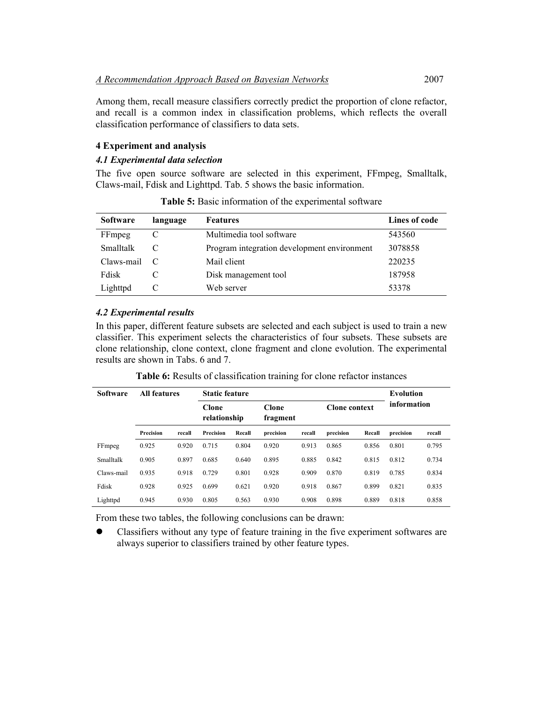Among them, recall measure classifiers correctly predict the proportion of clone refactor, and recall is a common index in classification problems, which reflects the overall classification performance of classifiers to data sets.

## **4 Experiment and analysis**

#### *4.1 Experimental data selection*

The five open source software are selected in this experiment, FFmpeg, Smalltalk, Claws-mail, Fdisk and Lighttpd. Tab. 5 shows the basic information.

| <b>Software</b> | language | <b>Features</b>                             | Lines of code |
|-----------------|----------|---------------------------------------------|---------------|
| FFmpeg          |          | Multimedia tool software                    | 543560        |
| Smalltalk       |          | Program integration development environment | 3078858       |
| Claws-mail      | - C      | Mail client                                 | 220235        |
| Fdisk           |          | Disk management tool                        | 187958        |
| Lighttpd        |          | Web server                                  | 53378         |

**Table 5:** Basic information of the experimental software

## *4.2 Experimental results*

In this paper, different feature subsets are selected and each subject is used to train a new classifier. This experiment selects the characteristics of four subsets. These subsets are clone relationship, clone context, clone fragment and clone evolution. The experimental results are shown in Tabs. 6 and 7.

| <b>Software</b> | <b>All features</b> |        | <b>Static feature</b> | <b>Evolution</b> |                   |        |                      |        |             |        |
|-----------------|---------------------|--------|-----------------------|------------------|-------------------|--------|----------------------|--------|-------------|--------|
|                 |                     |        | Clone<br>relationship |                  | Clone<br>fragment |        | <b>Clone context</b> |        | information |        |
|                 | Precision           | recall | Precision             | Recall           | precision         | recall | precision            | Recall | precision   | recall |
| FFmpeg          | 0.925               | 0.920  | 0.715                 | 0.804            | 0.920             | 0.913  | 0.865                | 0.856  | 0.801       | 0.795  |
| Smalltalk       | 0.905               | 0.897  | 0.685                 | 0.640            | 0.895             | 0.885  | 0.842                | 0.815  | 0.812       | 0.734  |
| Claws-mail      | 0.935               | 0.918  | 0.729                 | 0.801            | 0.928             | 0.909  | 0.870                | 0.819  | 0.785       | 0.834  |
| Fdisk           | 0.928               | 0.925  | 0.699                 | 0.621            | 0.920             | 0.918  | 0.867                | 0.899  | 0.821       | 0.835  |
| Lighttpd        | 0.945               | 0.930  | 0.805                 | 0.563            | 0.930             | 0.908  | 0.898                | 0.889  | 0.818       | 0.858  |

**Table 6:** Results of classification training for clone refactor instances

From these two tables, the following conclusions can be drawn:

 Classifiers without any type of feature training in the five experiment softwares are always superior to classifiers trained by other feature types.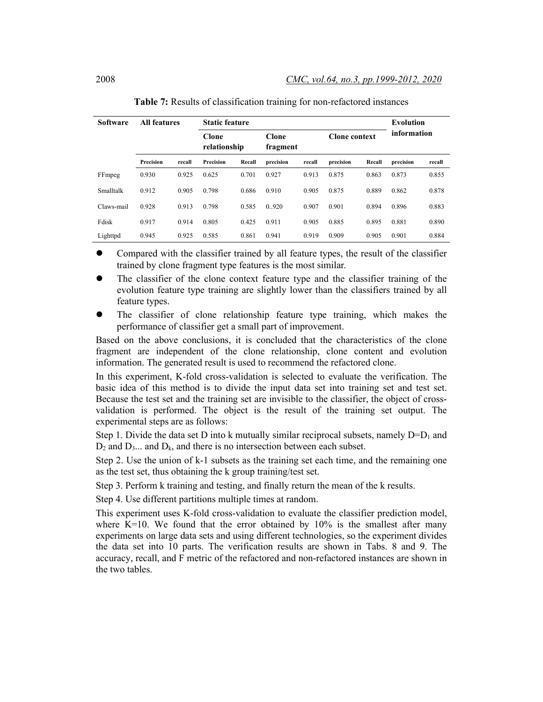| <b>All features</b><br><b>Software</b> |           |        |                       | <b>Static feature</b> |                   |        |                      |        |             |        |
|----------------------------------------|-----------|--------|-----------------------|-----------------------|-------------------|--------|----------------------|--------|-------------|--------|
|                                        |           |        | Clone<br>relationship |                       | Clone<br>fragment |        | <b>Clone context</b> |        | information |        |
|                                        | Precision | recall | Precision             | Recall                | precision         | recall | precision            | Recall | precision   | recall |
| FFmpeg                                 | 0.930     | 0.925  | 0.625                 | 0.701                 | 0.927             | 0.913  | 0.875                | 0.863  | 0.873       | 0.855  |
| Smalltalk                              | 0.912     | 0.905  | 0.798                 | 0.686                 | 0.910             | 0.905  | 0.875                | 0.889  | 0.862       | 0.878  |
| Claws-mail                             | 0.928     | 0.913  | 0.798                 | 0.585                 | 0.920             | 0.907  | 0.901                | 0.894  | 0.896       | 0.883  |
| Fdisk                                  | 0.917     | 0.914  | 0.805                 | 0.425                 | 0.911             | 0.905  | 0.885                | 0.895  | 0.881       | 0.890  |
| Lighttpd                               | 0.945     | 0.925  | 0.585                 | 0.861                 | 0.941             | 0.919  | 0.909                | 0.905  | 0.901       | 0.884  |

| Table 7: Results of classification training for non-refactored instances |
|--------------------------------------------------------------------------|
|--------------------------------------------------------------------------|

- Compared with the classifier trained by all feature types, the result of the classifier trained by clone fragment type features is the most similar.
- The classifier of the clone context feature type and the classifier training of the evolution feature type training are slightly lower than the classifiers trained by all feature types.
- The classifier of clone relationship feature type training, which makes the performance of classifier get a small part of improvement.

Based on the above conclusions, it is concluded that the characteristics of the clone fragment are independent of the clone relationship, clone content and evolution information. The generated result is used to recommend the refactored clone.

In this experiment, K-fold cross-validation is selected to evaluate the verification. The basic idea of this method is to divide the input data set into training set and test set. Because the test set and the training set are invisible to the classifier, the object of crossvalidation is performed. The object is the result of the training set output. The experimental steps are as follows:

Step 1. Divide the data set D into k mutually similar reciprocal subsets, namely  $D=D_1$  and  $D_2$  and  $D_3$ ... and  $D_k$ , and there is no intersection between each subset.

Step 2. Use the union of k-1 subsets as the training set each time, and the remaining one as the test set, thus obtaining the k group training/test set.

Step 3. Perform k training and testing, and finally return the mean of the k results.

Step 4. Use different partitions multiple times at random.

This experiment uses K-fold cross-validation to evaluate the classifier prediction model, where  $K=10$ . We found that the error obtained by  $10\%$  is the smallest after many experiments on large data sets and using different technologies, so the experiment divides the data set into 10 parts. The verification results are shown in Tabs. 8 and 9. The accuracy, recall, and F metric of the refactored and non-refactored instances are shown in the two tables.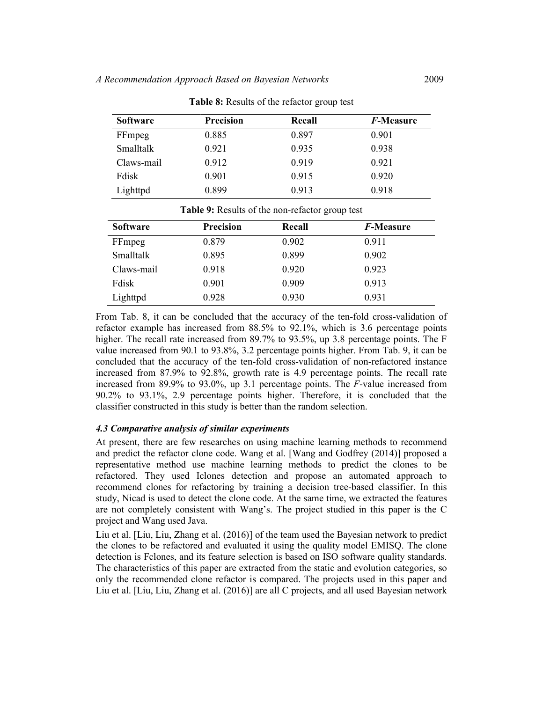| <b>Software</b> | <b>Precision</b> | Recall | <i>F</i> -Measure |
|-----------------|------------------|--------|-------------------|
| FFmpeg          | 0.885            | 0.897  | 0.901             |
| Smalltalk       | 0.921            | 0.935  | 0.938             |
| Claws-mail      | 0.912            | 0.919  | 0.921             |
| Fdisk           | 0.901            | 0.915  | 0.920             |
| Lighttpd        | 0.899            | 0.913  | 0.918             |

**Table 8:** Results of the refactor group test

| Table 9: Results of the non-refactor group test |                  |        |                   |  |  |
|-------------------------------------------------|------------------|--------|-------------------|--|--|
| <b>Software</b>                                 | <b>Precision</b> | Recall | <i>F</i> -Measure |  |  |
| FFmpeg                                          | 0.879            | 0.902  | 0.911             |  |  |
| Smalltalk                                       | 0.895            | 0.899  | 0.902             |  |  |
| Claws-mail                                      | 0.918            | 0.920  | 0.923             |  |  |
| Fdisk                                           | 0.901            | 0.909  | 0.913             |  |  |
| Lighttpd                                        | 0.928            | 0.930  | 0.931             |  |  |

From Tab. 8, it can be concluded that the accuracy of the ten-fold cross-validation of refactor example has increased from 88.5% to 92.1%, which is 3.6 percentage points higher. The recall rate increased from 89.7% to 93.5%, up 3.8 percentage points. The F value increased from 90.1 to 93.8%, 3.2 percentage points higher. From Tab. 9, it can be concluded that the accuracy of the ten-fold cross-validation of non-refactored instance increased from 87.9% to 92.8%, growth rate is 4.9 percentage points. The recall rate increased from 89.9% to 93.0%, up 3.1 percentage points. The *F*-value increased from 90.2% to 93.1%, 2.9 percentage points higher. Therefore, it is concluded that the classifier constructed in this study is better than the random selection.

#### *4.3 Comparative analysis of similar experiments*

At present, there are few researches on using machine learning methods to recommend and predict the refactor clone code. Wang et al. [Wang and Godfrey (2014)] proposed a representative method use machine learning methods to predict the clones to be refactored. They used Iclones detection and propose an automated approach to recommend clones for refactoring by training a decision tree-based classifier. In this study, Nicad is used to detect the clone code. At the same time, we extracted the features are not completely consistent with Wang's. The project studied in this paper is the C project and Wang used Java.

Liu et al. [Liu, Liu, Zhang et al. (2016)] of the team used the Bayesian network to predict the clones to be refactored and evaluated it using the quality model EMISQ. The clone detection is Fclones, and its feature selection is based on ISO software quality standards. The characteristics of this paper are extracted from the static and evolution categories, so only the recommended clone refactor is compared. The projects used in this paper and Liu et al. [Liu, Liu, Zhang et al. (2016)] are all C projects, and all used Bayesian network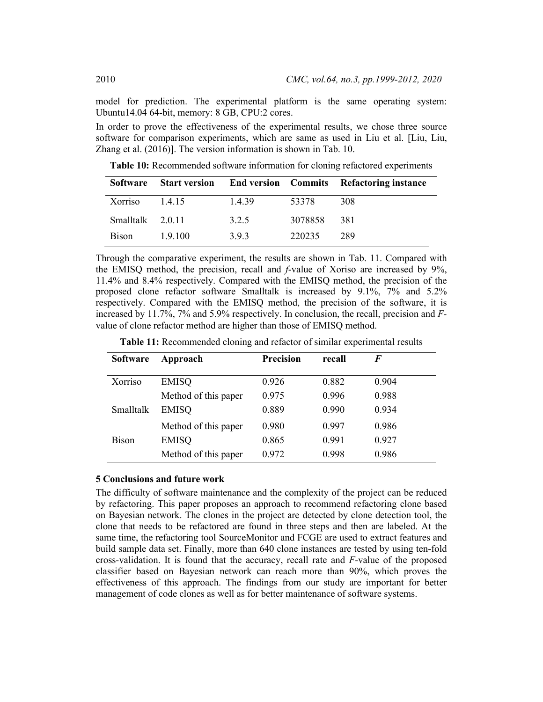model for prediction. The experimental platform is the same operating system: Ubuntu14.04 64-bit, memory: 8 GB, CPU:2 cores.

In order to prove the effectiveness of the experimental results, we chose three source software for comparison experiments, which are same as used in Liu et al. [Liu, Liu, Zhang et al. (2016)]. The version information is shown in Tab. 10.

**Table 10:** Recommended software information for cloning refactored experiments

| Software         |       |       |         | <b>Start version</b> End version Commits Refactoring instance |
|------------------|-------|-------|---------|---------------------------------------------------------------|
| $Xorriso$ 1.4.15 |       | 1439  | 53378   | 308                                                           |
| Smalltalk 2.0.11 |       | 3.2.5 | 3078858 | 381                                                           |
| <b>Bison</b>     | 19100 | 393   | 220235  | 289                                                           |

Through the comparative experiment, the results are shown in Tab. 11. Compared with the EMISQ method, the precision, recall and *f*-value of Xoriso are increased by 9%, 11.4% and 8.4% respectively. Compared with the EMISQ method, the precision of the proposed clone refactor software Smalltalk is increased by 9.1%, 7% and 5.2% respectively. Compared with the EMISQ method, the precision of the software, it is increased by 11.7%, 7% and 5.9% respectively. In conclusion, the recall, precision and *F*value of clone refactor method are higher than those of EMISQ method.

| Table 11: Recommended cloning and refactor of similar experimental results |  |  |  |
|----------------------------------------------------------------------------|--|--|--|
|----------------------------------------------------------------------------|--|--|--|

| <b>Software</b> | Approach             | <b>Precision</b> | recall | F     |  |
|-----------------|----------------------|------------------|--------|-------|--|
| Xorriso         | <b>EMISQ</b>         | 0.926            | 0.882  | 0.904 |  |
|                 | Method of this paper | 0.975            | 0.996  | 0.988 |  |
| Smalltalk       | <b>EMISQ</b>         | 0.889            | 0.990  | 0.934 |  |
|                 | Method of this paper | 0.980            | 0.997  | 0.986 |  |
| <b>Bison</b>    | <b>EMISQ</b>         | 0.865            | 0.991  | 0.927 |  |
|                 | Method of this paper | 0.972            | 0.998  | 0.986 |  |

## **5 Conclusions and future work**

The difficulty of software maintenance and the complexity of the project can be reduced by refactoring. This paper proposes an approach to recommend refactoring clone based on Bayesian network. The clones in the project are detected by clone detection tool, the clone that needs to be refactored are found in three steps and then are labeled. At the same time, the refactoring tool SourceMonitor and FCGE are used to extract features and build sample data set. Finally, more than 640 clone instances are tested by using ten-fold cross-validation. It is found that the accuracy, recall rate and *F*-value of the proposed classifier based on Bayesian network can reach more than 90%, which proves the effectiveness of this approach. The findings from our study are important for better management of code clones as well as for better maintenance of software systems.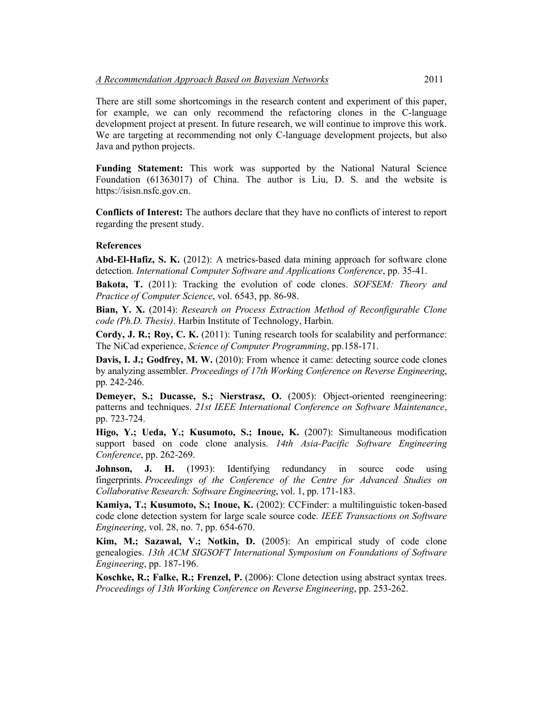There are still some shortcomings in the research content and experiment of this paper, for example, we can only recommend the refactoring clones in the C-language development project at present. In future research, we will continue to improve this work. We are targeting at recommending not only C-language development projects, but also Java and python projects.

**Funding Statement:** This work was supported by the National Natural Science Foundation (61363017) of China. The author is Liu, D. S. and the website is [https://isisn.nsfc.gov.cn.](https://isisn.nsfc.gov.cn/egrantindex/funcindex/prjsearch-list)

**Conflicts of Interest:** The authors declare that they have no conflicts of interest to report regarding the present study.

#### **References**

**Abd-El-Hafiz, S. K.** (2012): A metrics-based data mining approach for software clone detection. *International Computer Software and Applications Conference*, pp. 35-41.

**Bakota, T.** (2011): Tracking the evolution of code clones. *SOFSEM: Theory and Practice of Computer Science*, vol. 6543, pp. 86-98.

**Bian, Y. X.** (2014): *Research on Process Extraction Method of Reconfigurable Clone code (Ph.D. Thesis)*. Harbin Institute of Technology, Harbin.

**Cordy, J. R.; Roy, C. K.** (2011): Tuning research tools for scalability and performance: The NiCad experience, *Science of Computer Programming*, pp.158-171.

**Davis, I. J.; Godfrey, M. W.** (2010): From whence it came: detecting source code clones by analyzing assembler. *Proceedings of 17th Working Conference on Reverse Engineering*, pp. 242-246.

**Demeyer, S.; Ducasse, S.; Nierstrasz, O.** (2005): Object-oriented reengineering: patterns and techniques. *21st IEEE International Conference on Software Maintenance*, pp. 723-724.

**Higo, Y.; Ueda, Y.; Kusumoto, S.; Inoue, K.** (2007): Simultaneous modification support based on code clone analysis. *14th Asia-Pacific Software Engineering Conference*, pp. 262-269.

Johnson, J. H. (1993): Identifying redundancy in source code using fingerprints. *Proceedings of the Conference of the Centre for Advanced Studies on Collaborative Research: Software Engineering*, vol. 1, pp. 171-183.

**Kamiya, T.; Kusumoto, S.; Inoue, K.** (2002): CCFinder: a multilinguistic token-based code clone detection system for large scale source code. *IEEE Transactions on Software Engineering*, vol. 28, no. 7, pp. 654-670.

**Kim, M.; Sazawal, V.; Notkin, D.** (2005): An empirical study of code clone genealogies. *13th ACM SIGSOFT International Symposium on Foundations of Software Engineering*, pp. 187-196.

**Koschke, R.; Falke, R.; Frenzel, P.** (2006): Clone detection using abstract syntax trees. *Proceedings of 13th Working Conference on Reverse Engineering*, pp. 253-262.